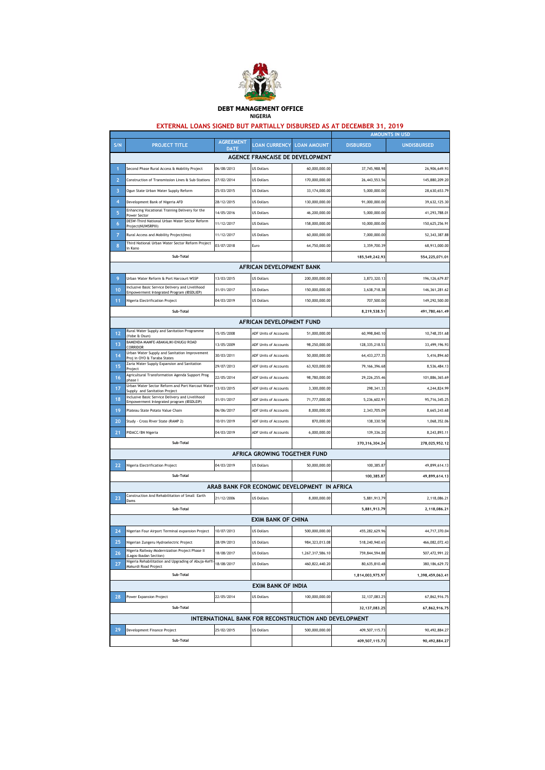

## **DEBT MANAGEMENT OFFICE NIGERIA**

## **EXTERNAL LOANS SIGNED BUT PARTIALLY DISBURSED AS AT DECEMBER 31, 2019**

|                                   |                                                                                              |                                 | AMOUNTS IN USD                               |                                                       |                  |                    |  |  |
|-----------------------------------|----------------------------------------------------------------------------------------------|---------------------------------|----------------------------------------------|-------------------------------------------------------|------------------|--------------------|--|--|
| S/N                               | <b>PROJECT TITLE</b>                                                                         | <b>AGREEMENT</b><br><b>DATE</b> | <b>LOAN CURRENCY LOAN AMOUNT</b>             |                                                       | <b>DISBURSED</b> | <b>UNDISBURSED</b> |  |  |
| AGENCE FRANCAISE DE DEVELOPMENT   |                                                                                              |                                 |                                              |                                                       |                  |                    |  |  |
|                                   | Second Phase Rural Access & Mobility Project                                                 | 06/08/2013                      | <b>US Dollars</b>                            | 60,000,000.00                                         | 37,745,988.98    | 26,906,649.93      |  |  |
| $\overline{2}$                    | Construction of Transmission Lines & Sub-Stations                                            | 27/02/2014                      | <b>US Dollars</b>                            | 170,000,000.00                                        | 26, 443, 553. 56 | 145,880,209.20     |  |  |
| 3                                 | Ogun State Urban Water Supply Reform                                                         | 25/03/2015                      | <b>US Dollars</b>                            | 33,174,000.00                                         | 5,000,000.00     | 28,630,653.79      |  |  |
| 4                                 | Development Bank of Nigeria AFD                                                              | 28/12/2015                      | <b>US Dollars</b>                            | 130,000,000.00                                        | 91,000,000.00    | 39,632,125.30      |  |  |
| 5                                 | Enhancing Vocational Training Delivery for the<br>Power Sector                               | 14/05/2016                      | <b>US Dollars</b>                            | 46,200,000.00                                         | 5,000,000.00     | 41,293,788.01      |  |  |
| 6                                 | DESW-Third National Urban Water Sector Reform<br>Project(NUWSRPIII)                          | 11/12/2017                      | <b>US Dollars</b>                            | 158,000,000.00                                        | 10,000,000.00    | 150,625,256.91     |  |  |
| 7                                 | Rural Access and Mobility Project(Imo)                                                       | 11/12/2017                      | <b>US Dollars</b>                            | 60,000,000.00                                         | 7,000,000.00     | 52,343,387.88      |  |  |
| 8                                 | Third National Urban Water Sector Reform Project<br>in Kano                                  | 03/07/2018                      | Euro                                         | 64,750,000.00                                         | 3,359,700.39     | 68,913,000.00      |  |  |
|                                   | Sub-Total                                                                                    |                                 |                                              |                                                       | 185,549,242.93   | 554,225,071.01     |  |  |
|                                   |                                                                                              |                                 | AFRICAN DEVELOPMENT BANK                     |                                                       |                  |                    |  |  |
| 9                                 | Urban Water Reform & Port Harcourt WSSP                                                      | 13/03/2015                      | <b>US Dollars</b>                            | 200,000,000.00                                        | 3,873,320.13     | 196, 126, 679.87   |  |  |
| 10 <sup>1</sup>                   | Inclusive Basic Service Delivery and Livelihood<br>Empowerment Integrated Program (IBSDLIEP) | 31/01/2017                      | <b>US Dollars</b>                            | 150,000,000.00                                        | 3,638,718.38     | 146, 361, 281.62   |  |  |
| 11                                | Nigeria Electrification Project                                                              | 04/03/2019                      | <b>US Dollars</b>                            | 150,000,000.00                                        | 707,500.00       | 149,292,500.00     |  |  |
|                                   | Sub-Total                                                                                    |                                 |                                              |                                                       | 8,219,538.51     | 491,780,461.49     |  |  |
|                                   |                                                                                              |                                 | AFRICAN DEVELOPMENT FUND                     |                                                       |                  |                    |  |  |
| 12                                | Rural Water Supply and Sanitation Programme<br>(Yobe & Osun)                                 | 15/05/2008                      | ADF Units of Accounts                        | 51,000,000.00                                         | 60,998,840.10    | 10,748,351.68      |  |  |
| 13                                | BAMENDA-MAMFE-ABAKALIKI-ENUGU ROAD<br>CORRIDOR                                               | 13/05/2009                      | ADF Units of Accounts                        | 98,250,000.00                                         | 128, 335, 218.53 | 33,499,196.93      |  |  |
| 14                                | Urban Water Supply and Sanitation Improvement                                                | 30/03/2011                      | ADF Units of Accounts                        | 50,000,000.00                                         | 64, 433, 277.35  | 5,416,894.60       |  |  |
| 15                                | Proj in OYO & Taraba States<br>Zaria Water Supply Expansion and Sanitation                   | 29/07/2013                      | <b>ADF Units of Accounts</b>                 | 63,920,000.00                                         | 79, 166, 396.68  | 8,536,484.13       |  |  |
| 16                                | Project<br>Agricultural Transformation Agenda Support Prog                                   | 22/05/2014                      | ADF Units of Accounts                        | 98,780,000.00                                         | 29,226,255.46    | 101,886,365.69     |  |  |
| 17                                | phase I<br>Urban Water Sector Reform and Port Harcout Water                                  | 13/03/2015                      | ADF Units of Accounts                        | 3,300,000.00                                          | 298,341.33       | 4,244,824.99       |  |  |
| 18                                | Supply and Sanitation Project<br>Inclusive Basic Service Delivery and Livelihood             | 31/01/2017                      | ADF Units of Accounts                        | 71,777,000.00                                         | 5,236,602.91     | 95,716,345.25      |  |  |
| 19                                | Empowerment Integrated program (IBSDLEIP)<br>Plateau State Potato Value Chain                | 06/06/2017                      | ADF Units of Accounts                        | 8,000,000.00                                          | 2,343,705.09     | 8,665,243.68       |  |  |
| 20                                | Study - Cross River State (RAMP 2)                                                           | 10/01/2019                      | ADF Units of Accounts                        | 870,000.00                                            | 138,330.58       | 1,068,352.06       |  |  |
| 21                                | PIDACC/BN Nigeria                                                                            | 04/03/2019                      | ADF Units of Accounts                        | 6,000,000.00                                          | 139,336.20       | 8,243,893.11       |  |  |
|                                   | Sub-Total                                                                                    |                                 |                                              |                                                       | 370, 316, 304.24 | 278,025,952.12     |  |  |
|                                   | AFRICA GROWING TOGETHER FUND                                                                 |                                 |                                              |                                                       |                  |                    |  |  |
| 22                                | Nigeria Electrification Project                                                              | 04/03/2019                      | <b>US Dollars</b>                            | 50,000,000.00                                         | 100,385.87       | 49,899,614.13      |  |  |
|                                   | Sub-Total                                                                                    |                                 |                                              |                                                       | 100,385.87       | 49,899,614.13      |  |  |
|                                   |                                                                                              |                                 | ARAB BANK FOR ECONOMIC DEVELOPMENT IN AFRICA |                                                       |                  |                    |  |  |
| 23                                | Construction And Rehabilitation of Small Earth                                               | 21/12/2006                      | <b>US Dollars</b>                            | 8,000,000.00                                          | 5,881,913.79     | 2,118,086.21       |  |  |
|                                   | Dams<br>Sub-Total                                                                            |                                 |                                              |                                                       | 5,881,913.79     | 2,118,086.21       |  |  |
|                                   |                                                                                              |                                 | <b>EXIM BANK OF CHINA</b>                    |                                                       |                  |                    |  |  |
| 24                                | Nigerian Four Airport Terminal expansion Project                                             | 10/07/2013                      | <b>US Dollars</b>                            | 500,000,000.00                                        | 455,282,629.96   | 44,717,370.04      |  |  |
| 25                                | Nigerian Zungeru Hydroelectric Project                                                       | 28/09/2013                      | <b>US Dollars</b>                            | 984, 323, 013.08                                      | 518,240,940.65   | 466,082,072.43     |  |  |
| 26                                | Nigeria Railway Modernization Project Phase II                                               | 18/08/2017                      | <b>US Dollars</b>                            | 1,267,317,586.10                                      | 759,844,594.88   | 507,472,991.22     |  |  |
| 27                                | (Lagos-Ibadan Section)<br>Nigeria Rehabilitation and Upgrading of Abuja-Keffi                | 18/08/2017                      | <b>US Dollars</b>                            | 460,822,440.20                                        | 80,635,810.48    | 380, 186, 629. 72  |  |  |
| Makurdi Road Project<br>Sub-Total |                                                                                              |                                 |                                              |                                                       | 1,814,003,975.97 | 1,398,459,063.41   |  |  |
|                                   |                                                                                              |                                 | <b>EXIM BANK OF INDIA</b>                    |                                                       |                  |                    |  |  |
| 28                                | Power Expansion Project                                                                      | 22/05/2014                      | <b>US Dollars</b>                            | 100,000,000.00                                        | 32, 137, 083.25  | 67,862,916.75      |  |  |
|                                   | Sub-Total                                                                                    |                                 |                                              |                                                       | 32, 137, 083.25  | 67,862,916.75      |  |  |
|                                   |                                                                                              |                                 |                                              | INTERNATIONAL BANK FOR RECONSTRUCTION AND DEVELOPMENT |                  |                    |  |  |
| 29                                | Development Finance Project                                                                  | 25/02/2015                      | <b>US Dollars</b>                            | 500,000,000.00                                        | 409,507,115.73   | 90,492,884.27      |  |  |
|                                   | Sub-Total                                                                                    |                                 |                                              |                                                       | 409,507,115.73   | 90,492,884.27      |  |  |
|                                   |                                                                                              |                                 |                                              |                                                       |                  |                    |  |  |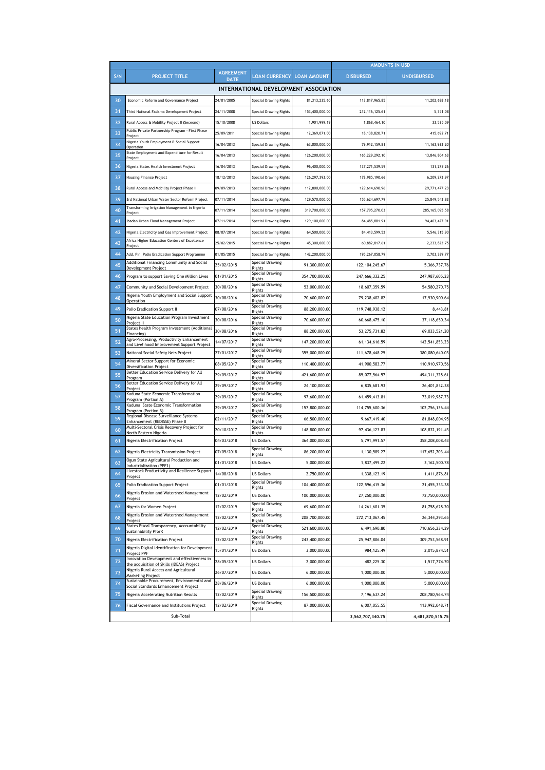|           |                                                                                          |                                 |                               |                | <b>AMOUNTS IN USD</b> |                    |  |  |
|-----------|------------------------------------------------------------------------------------------|---------------------------------|-------------------------------|----------------|-----------------------|--------------------|--|--|
| S/N       | <b>PROJECT TITLE</b>                                                                     | <b>AGREEMENT</b><br><b>DATE</b> | LOAN CURRENCY LOAN AMOUNT     |                | <b>DISBURSED</b>      | <b>UNDISBURSED</b> |  |  |
|           | INTERNATIONAL DEVELOPMENT ASSOCIATION                                                    |                                 |                               |                |                       |                    |  |  |
| 30        | Economic Reform and Governance Project                                                   | 24/01/2005                      | <b>Special Drawing Rights</b> | 81,313,235.60  | 113,817,965.85        | 11,202,688.18      |  |  |
| 31        | Third National Fadama Development Project                                                | 24/11/2008                      | Special Drawing Rights        | 153,400,000.00 | 212, 116, 125.61      | 5,351.08           |  |  |
| 32        | Rural Access & Mobility Project II (Seceond)                                             | 15/10/2008                      | <b>US Dollars</b>             | 1,901,999.19   | 1,868,464.10          | 33.535.09          |  |  |
| 33        | Public Private Partnership Program - First Phase<br>Project                              | 25/09/2011                      | Special Drawing Rights        | 12,369,071.00  | 18.138.820.71         | 415.692.71         |  |  |
| 34        | Nigeria Youth Employment & Social Support<br>Operation                                   | 16/04/2013                      | Special Drawing Rights        | 63.000.000.00  | 79.912.159.81         | 11, 163, 933. 20   |  |  |
| 35        | State Employment and Expenditure for Result<br>Project                                   | 16/04/2013                      | Special Drawing Rights        | 126,200,000.00 | 165,229,292.10        | 13,846,804.63      |  |  |
| 36        | Nigeria States Health Investment Project                                                 | 16/04/2013                      | Special Drawing Rights        | 96.400.000.00  | 137,271,539.59        | 131,278.26         |  |  |
| 37        | <b>Housing Finance Project</b>                                                           | 18/12/2013                      | Special Drawing Rights        | 126,297,393.00 | 178,985,190.66        | 6,209,273.97       |  |  |
| 38        | Rural Access and Mobility Project Phase II                                               | 09/09/2013                      | Special Drawing Rights        | 112,800,000.00 | 129,614,690.96        | 29,771,477.23      |  |  |
| 39        | 3rd National Urban Water Sector Reform Project                                           | 07/11/2014                      | Special Drawing Rights        | 129,570,000.00 | 155,624,697.79        | 25,849,543.83      |  |  |
| 40        | Transforming Irrigation Management in Nigeria<br>Project                                 | 07/11/2014                      | Special Drawing Rights        | 319,700,000.00 | 157,795,270.03        | 285, 165, 095.58   |  |  |
| 41        | Ibadan Urban Flood Management Project                                                    | 07/11/2014                      | Special Drawing Rights        | 129,100,000.00 | 84,485,881.91         | 94,403,427.91      |  |  |
| 42        | Nigeria Electricity and Gas Improvement Project                                          | 08/07/2014                      | Special Drawing Rights        | 64,500,000.00  | 84,413,599.52         | 5,546,315.90       |  |  |
| 43        | Africa Higher Education Centers of Excellence<br>Project                                 | 25/02/2015                      | Special Drawing Rights        | 45.300.000.00  | 60,882,817.61         | 2,233,822.75       |  |  |
| 44        | Add. Fin. Polio Eradication Support Programme                                            | 01/05/2015                      | <b>Special Drawing Rights</b> | 142,200,000.00 | 195,267,058.79        | 3,703,389.77       |  |  |
| 45        | Additional Financing Community and Social<br>Development Project                         | 25/02/2015                      | Special Drawing<br>Rights     | 91,300,000.00  | 122, 104, 245.67      | 5,366,737.76       |  |  |
| 46        | Program to support Saving One Million Lives                                              | 01/01/2015                      | Special Drawing<br>Rights     | 354,700,000.00 | 247,666,332.25        | 247,987,605.23     |  |  |
| 47        | Community and Social Development Project                                                 | 30/08/2016                      | Special Drawing<br>Rights     | 53,000,000.00  | 18,607,359.59         | 54,580,270.75      |  |  |
| 48        | Nigeria Youth Employment and Social Support<br>Operation                                 | 30/08/2016                      | Special Drawing<br>Rights     | 70,600,000.00  | 79,238,402.82         | 17,930,900.64      |  |  |
| 49        | Polio Eradication Support II                                                             | 07/08/2016                      | Special Drawing<br>Rights     | 88,200,000.00  | 119,748,938.12        | 8,443.81           |  |  |
| 50        | Nigeria State Education Program Investment<br>Project II                                 | 30/08/2016                      | Special Drawing<br>Rights     | 70,600,000.00  | 60,668,475.10         | 37,118,650.34      |  |  |
| 51        | States health Program Investment (Additional<br>Financing                                | 30/08/2016                      | Special Drawing<br>Rights     | 88,200,000.00  | 53,275,731.82         | 69,033,521.20      |  |  |
| 52        | Agro-Processing, Productivity Enhancement<br>and Livelihood Improvement Support Project  | 14/07/2017                      | Special Drawing<br>Rights     | 147,200,000.00 | 61, 134, 616. 59      | 142,541,853.23     |  |  |
| 53        | National Social Safety Nets Project                                                      | 27/01/2017                      | Special Drawing<br>Rights     | 355,000,000.00 | 111,678,448.25        | 380,080,640.03     |  |  |
| 54        | Mineral Sector Support for Economic<br>Diversification Project                           | 08/05/2017                      | Special Drawing<br>Rights     | 110,400,000.00 | 41,900,583.77         | 110,910,970.56     |  |  |
| 55        | Better Education Service Delivery for All<br>Program                                     | 29/09/2017                      | Special Drawing<br>Rights     | 421,600,000.00 | 85,077,564.57         | 494, 311, 328.61   |  |  |
| 56        | Better Education Service Delivery for All<br>Project                                     | 29/09/2017                      | Special Drawing<br>Rights     | 24,100,000.00  | 6,835,681.93          | 26,401,832.38      |  |  |
| 57        | Kaduna State Economic Transformation<br>Program (Portion A)                              | 29/09/2017                      | Special Drawing<br>Rights     | 97,600,000.00  | 61,459,413.81         | 73,019,987.73      |  |  |
| 58        | Kaduna State Economic Transformation<br>Program (Portion B)                              | 29/09/2017                      | Special Drawing<br>Rights     | 157,800,000.00 | 114,755,600.36        | 102,756,136.44     |  |  |
| 59        | Regional Disease Surveillance Systems<br>Enhancement (REDISSE) Phase II                  | 02/11/2017                      | Special Drawing<br>Rights     | 66,500,000.00  | 9,667,419.40          | 81,848,004.95      |  |  |
| 60        | Multi-Sectoral Crisis Recovery Project for<br>North Eastern Nigeria                      | 20/10/2017                      | Special Drawing<br>Rights     | 148,800,000.00 | 97,436,123.83         | 108,832,191.43     |  |  |
| 61        | Nigeria Electrification Project                                                          | 04/03/2018                      | <b>US Dollars</b>             | 364,000,000.00 | 5,791,991.57          | 358,208,008.43     |  |  |
| 62        | Nigeria Electricity Transmission Project                                                 | 07/05/2018                      | Special Drawing<br>Rights     | 86,200,000.00  | 1,130,589.27          | 117,652,703.44     |  |  |
| 63        | Ogun State Agricultural Production and<br>Industrialization (PPF1)                       | 01/01/2018                      | <b>US Dollars</b>             | 5,000,000.00   | 1,837,499.22          | 3,162,500.78       |  |  |
| 64        | ivestock Productivity and Resilience Support<br>Project                                  | 14/08/2018                      | <b>US Dollars</b>             | 2,750,000.00   | 1,338,123.19          | 1,411,876.81       |  |  |
| 65        | Polio Eradication Support Project                                                        | 01/01/2018                      | Special Drawing<br>Rights     | 104,400,000.00 | 122,596,415.36        | 21,455,333.38      |  |  |
| 66        | Nigeria Erosion and Watershed Management<br>Project                                      | 12/02/2019                      | <b>US Dollars</b>             | 100,000,000.00 | 27,250,000.00         | 72,750,000.00      |  |  |
| 67        | Nigeria for Women Project                                                                | 12/02/2019                      | Special Drawing<br>Rights     | 69,600,000.00  | 14,261,601.35         | 81,758,628.20      |  |  |
| 68        | Nigeria Erosion and Watershed Management<br>Project                                      | 12/02/2019                      | Special Drawing<br>Rights     | 208,700,000.00 | 272,713,067.45        | 26,344,293.65      |  |  |
| 69        | States Fiscal Transparency, Accountability<br><b>Sustainability PforR</b>                | 12/02/2019                      | Special Drawing<br>Rights     | 521,600,000.00 | 6,491,690.80          | 710,656,234.29     |  |  |
| 70        | Nigeria Electrification Project                                                          | 12/02/2019                      | Special Drawing<br>Rights     | 243,400,000.00 | 25,947,806.04         | 309,753,568.91     |  |  |
| 71        | Nigeria Digital Identification for Development<br>Project PPF                            | 15/01/2019                      | <b>US Dollars</b>             | 3,000,000.00   | 984, 125.49           | 2,015,874.51       |  |  |
| 72        | Innovation Development and effectiveness in<br>the acquisition of Skills (IDEAS) Project | 28/05/2019                      | <b>US Dollars</b>             | 2,000,000.00   | 482,225.30            | 1,517,774.70       |  |  |
| 73        | Nigeria Rural Access and Agricultural<br><b>Marketing Project</b>                        | 26/07/2019                      | <b>US Dollars</b>             | 6,000,000.00   | 1,000,000.00          | 5,000,000.00       |  |  |
| 74        | Sustainable Procurement, Environmental and<br>Social Standards Enhancement Project       | 28/06/2019                      | <b>US Dollars</b>             | 6,000,000.00   | 1,000,000.00          | 5,000,000.00       |  |  |
| 75        | Nigeria Accelerating Nutrition Results                                                   | 12/02/2019                      | Special Drawing<br>Rights     | 156,500,000.00 | 7,196,637.24          | 208,780,964.74     |  |  |
| 76        | Fiscal Governance and Institutions Project                                               | 12/02/2019                      | Special Drawing<br>Rights     | 87,000,000.00  | 6,007,055.55          | 113,992,048.71     |  |  |
| Sub-Total |                                                                                          |                                 |                               |                | 3,562,707,340.75      | 4,481,870,515.75   |  |  |